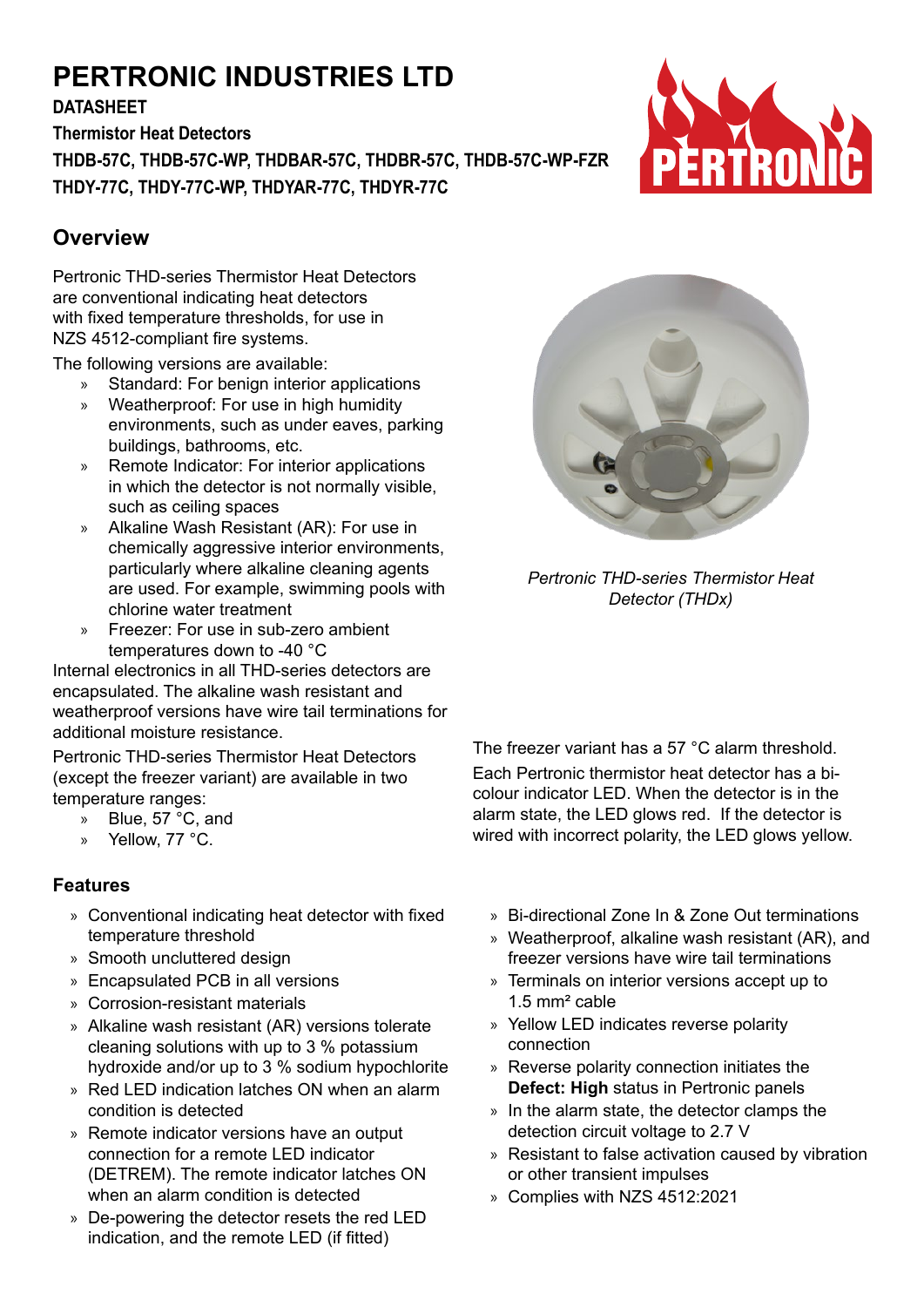# **PERTRONIC INDUSTRIES LTD**

**DATASHEET**

**Thermistor Heat Detectors THDB-57C, THDB-57C-WP, THDBAR-57C, THDBR-57C, THDB-57C-WP-FZR THDY-77C, THDY-77C-WP, THDYAR-77C, THDYR-77C**

# **Overview**

Pertronic THD-series Thermistor Heat Detectors are conventional indicating heat detectors with fixed temperature thresholds, for use in NZS 4512-compliant fire systems.

The following versions are available:

- » Standard: For benign interior applications
- » Weatherproof: For use in high humidity environments, such as under eaves, parking buildings, bathrooms, etc.
- » Remote Indicator: For interior applications in which the detector is not normally visible, such as ceiling spaces
- » Alkaline Wash Resistant (AR): For use in chemically aggressive interior environments, particularly where alkaline cleaning agents are used. For example, swimming pools with chlorine water treatment
- » Freezer: For use in sub-zero ambient temperatures down to -40 °C

Internal electronics in all THD-series detectors are encapsulated. The alkaline wash resistant and weatherproof versions have wire tail terminations for additional moisture resistance.

Pertronic THD-series Thermistor Heat Detectors (except the freezer variant) are available in two temperature ranges:

- » Blue, 57 °C, and
- » Yellow, 77 °C.

# **Features**

- » Conventional indicating heat detector with fixed temperature threshold
- » Smooth uncluttered design
- » Encapsulated PCB in all versions
- » Corrosion-resistant materials
- » Alkaline wash resistant (AR) versions tolerate cleaning solutions with up to 3 % potassium hydroxide and/or up to 3 % sodium hypochlorite
- » Red LED indication latches ON when an alarm condition is detected
- » Remote indicator versions have an output connection for a remote LED indicator (DETREM). The remote indicator latches ON when an alarm condition is detected
- » De-powering the detector resets the red LED indication, and the remote LED (if fitted)



The freezer variant has a 57 °C alarm threshold. Each Pertronic thermistor heat detector has a bicolour indicator LED. When the detector is in the alarm state, the LED glows red. If the detector is wired with incorrect polarity, the LED glows yellow.

- » Bi-directional Zone In & Zone Out terminations
- » Weatherproof, alkaline wash resistant (AR), and freezer versions have wire tail terminations
- » Terminals on interior versions accept up to 1.5 mm² cable
- » Yellow LED indicates reverse polarity connection
- » Reverse polarity connection initiates the **Defect: High** status in Pertronic panels
- » In the alarm state, the detector clamps the detection circuit voltage to 2.7 V
- » Resistant to false activation caused by vibration or other transient impulses
- » Complies with NZS 4512:2021



*Pertronic THD-series Thermistor Heat Detector (THDx)*